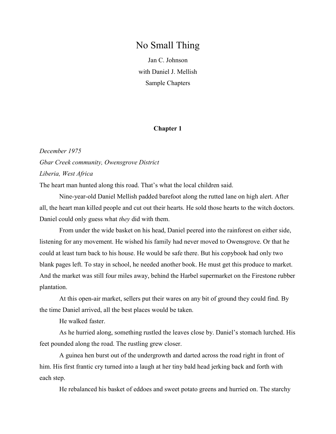## No Small Thing

Jan C. Johnson with Daniel J. Mellish Sample Chapters

## Chapter 1

December 1975 Gbar Creek community, Owensgrove District Liberia, West Africa

The heart man hunted along this road. That's what the local children said.

Nine-year-old Daniel Mellish padded barefoot along the rutted lane on high alert. After all, the heart man killed people and cut out their hearts. He sold those hearts to the witch doctors. Daniel could only guess what they did with them.

From under the wide basket on his head, Daniel peered into the rainforest on either side, listening for any movement. He wished his family had never moved to Owensgrove. Or that he could at least turn back to his house. He would be safe there. But his copybook had only two blank pages left. To stay in school, he needed another book. He must get this produce to market. And the market was still four miles away, behind the Harbel supermarket on the Firestone rubber plantation.

At this open-air market, sellers put their wares on any bit of ground they could find. By the time Daniel arrived, all the best places would be taken.

He walked faster.

As he hurried along, something rustled the leaves close by. Daniel's stomach lurched. His feet pounded along the road. The rustling grew closer.

A guinea hen burst out of the undergrowth and darted across the road right in front of him. His first frantic cry turned into a laugh at her tiny bald head jerking back and forth with each step.

He rebalanced his basket of eddoes and sweet potato greens and hurried on. The starchy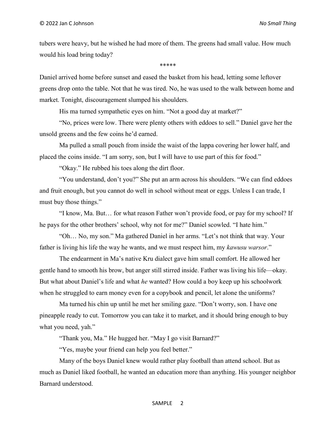tubers were heavy, but he wished he had more of them. The greens had small value. How much would his load bring today?

\*\*\*\*\*

Daniel arrived home before sunset and eased the basket from his head, letting some leftover greens drop onto the table. Not that he was tired. No, he was used to the walk between home and market. Tonight, discouragement slumped his shoulders.

His ma turned sympathetic eyes on him. "Not a good day at market?"

"No, prices were low. There were plenty others with eddoes to sell." Daniel gave her the unsold greens and the few coins he'd earned.

Ma pulled a small pouch from inside the waist of the lappa covering her lower half, and placed the coins inside. "I am sorry, son, but I will have to use part of this for food."

"Okay." He rubbed his toes along the dirt floor.

"You understand, don't you?" She put an arm across his shoulders. "We can find eddoes and fruit enough, but you cannot do well in school without meat or eggs. Unless I can trade, I must buy those things."

"I know, Ma. But… for what reason Father won't provide food, or pay for my school? If he pays for the other brothers' school, why not for me?" Daniel scowled. "I hate him."

"Oh… No, my son." Ma gathered Daniel in her arms. "Let's not think that way. Your father is living his life the way he wants, and we must respect him, my kawusu warsor."

The endearment in Ma's native Kru dialect gave him small comfort. He allowed her gentle hand to smooth his brow, but anger still stirred inside. Father was living his life—okay. But what about Daniel's life and what he wanted? How could a boy keep up his schoolwork when he struggled to earn money even for a copybook and pencil, let alone the uniforms?

Ma turned his chin up until he met her smiling gaze. "Don't worry, son. I have one pineapple ready to cut. Tomorrow you can take it to market, and it should bring enough to buy what you need, yah."

"Thank you, Ma." He hugged her. "May I go visit Barnard?"

"Yes, maybe your friend can help you feel better."

Many of the boys Daniel knew would rather play football than attend school. But as much as Daniel liked football, he wanted an education more than anything. His younger neighbor Barnard understood.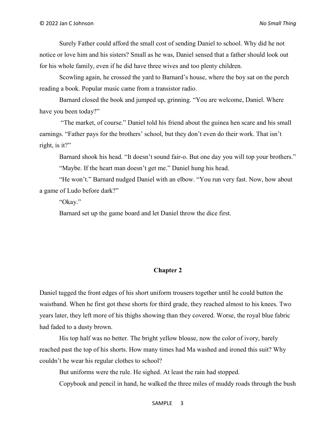Surely Father could afford the small cost of sending Daniel to school. Why did he not notice or love him and his sisters? Small as he was, Daniel sensed that a father should look out for his whole family, even if he did have three wives and too plenty children.

Scowling again, he crossed the yard to Barnard's house, where the boy sat on the porch reading a book. Popular music came from a transistor radio.

Barnard closed the book and jumped up, grinning. "You are welcome, Daniel. Where have you been today?"

 "The market, of course." Daniel told his friend about the guinea hen scare and his small earnings. "Father pays for the brothers' school, but they don't even do their work. That isn't right, is it?"

Barnard shook his head. "It doesn't sound fair-o. But one day you will top your brothers." "Maybe. If the heart man doesn't get me." Daniel hung his head.

"He won't." Barnard nudged Daniel with an elbow. "You run very fast. Now, how about a game of Ludo before dark?"

"Okay."

Barnard set up the game board and let Daniel throw the dice first.

## Chapter 2

Daniel tugged the front edges of his short uniform trousers together until he could button the waistband. When he first got these shorts for third grade, they reached almost to his knees. Two years later, they left more of his thighs showing than they covered. Worse, the royal blue fabric had faded to a dusty brown.

His top half was no better. The bright yellow blouse, now the color of ivory, barely reached past the top of his shorts. How many times had Ma washed and ironed this suit? Why couldn't he wear his regular clothes to school?

But uniforms were the rule. He sighed. At least the rain had stopped.

Copybook and pencil in hand, he walked the three miles of muddy roads through the bush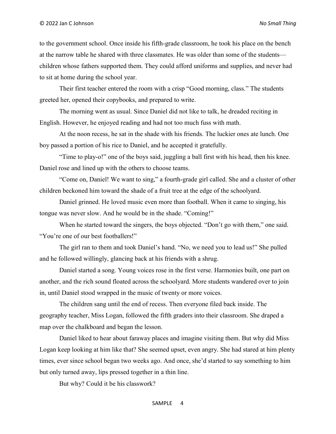to the government school. Once inside his fifth-grade classroom, he took his place on the bench at the narrow table he shared with three classmates. He was older than some of the students children whose fathers supported them. They could afford uniforms and supplies, and never had to sit at home during the school year.

Their first teacher entered the room with a crisp "Good morning, class." The students greeted her, opened their copybooks, and prepared to write.

The morning went as usual. Since Daniel did not like to talk, he dreaded reciting in English. However, he enjoyed reading and had not too much fuss with math.

At the noon recess, he sat in the shade with his friends. The luckier ones ate lunch. One boy passed a portion of his rice to Daniel, and he accepted it gratefully.

"Time to play-o!" one of the boys said, juggling a ball first with his head, then his knee. Daniel rose and lined up with the others to choose teams.

"Come on, Daniel! We want to sing," a fourth-grade girl called. She and a cluster of other children beckoned him toward the shade of a fruit tree at the edge of the schoolyard.

Daniel grinned. He loved music even more than football. When it came to singing, his tongue was never slow. And he would be in the shade. "Coming!"

When he started toward the singers, the boys objected. "Don't go with them," one said. "You're one of our best footballers!"

The girl ran to them and took Daniel's hand. "No, we need you to lead us!" She pulled and he followed willingly, glancing back at his friends with a shrug.

Daniel started a song. Young voices rose in the first verse. Harmonies built, one part on another, and the rich sound floated across the schoolyard. More students wandered over to join in, until Daniel stood wrapped in the music of twenty or more voices.

The children sang until the end of recess. Then everyone filed back inside. The geography teacher, Miss Logan, followed the fifth graders into their classroom. She draped a map over the chalkboard and began the lesson.

Daniel liked to hear about faraway places and imagine visiting them. But why did Miss Logan keep looking at him like that? She seemed upset, even angry. She had stared at him plenty times, ever since school began two weeks ago. And once, she'd started to say something to him but only turned away, lips pressed together in a thin line.

But why? Could it be his classwork?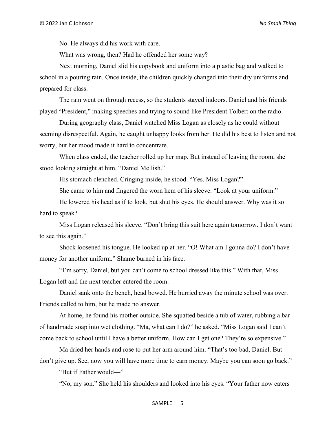No. He always did his work with care.

What was wrong, then? Had he offended her some way?

Next morning, Daniel slid his copybook and uniform into a plastic bag and walked to school in a pouring rain. Once inside, the children quickly changed into their dry uniforms and prepared for class.

The rain went on through recess, so the students stayed indoors. Daniel and his friends played "President," making speeches and trying to sound like President Tolbert on the radio.

During geography class, Daniel watched Miss Logan as closely as he could without seeming disrespectful. Again, he caught unhappy looks from her. He did his best to listen and not worry, but her mood made it hard to concentrate.

When class ended, the teacher rolled up her map. But instead of leaving the room, she stood looking straight at him. "Daniel Mellish."

His stomach clenched. Cringing inside, he stood. "Yes, Miss Logan?"

She came to him and fingered the worn hem of his sleeve. "Look at your uniform."

He lowered his head as if to look, but shut his eyes. He should answer. Why was it so hard to speak?

Miss Logan released his sleeve. "Don't bring this suit here again tomorrow. I don't want to see this again."

Shock loosened his tongue. He looked up at her. "O! What am I gonna do? I don't have money for another uniform." Shame burned in his face.

"I'm sorry, Daniel, but you can't come to school dressed like this." With that, Miss Logan left and the next teacher entered the room.

Daniel sank onto the bench, head bowed. He hurried away the minute school was over. Friends called to him, but he made no answer.

At home, he found his mother outside. She squatted beside a tub of water, rubbing a bar of handmade soap into wet clothing. "Ma, what can I do?" he asked. "Miss Logan said I can't come back to school until I have a better uniform. How can I get one? They're so expensive."

Ma dried her hands and rose to put her arm around him. "That's too bad, Daniel. But don't give up. See, now you will have more time to earn money. Maybe you can soon go back."

"But if Father would—"

"No, my son." She held his shoulders and looked into his eyes. "Your father now caters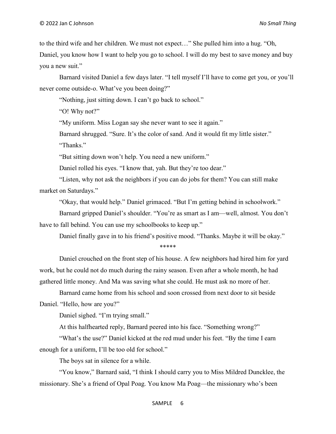to the third wife and her children. We must not expect…" She pulled him into a hug. "Oh, Daniel, you know how I want to help you go to school. I will do my best to save money and buy you a new suit."

Barnard visited Daniel a few days later. "I tell myself I'll have to come get you, or you'll never come outside-o. What've you been doing?"

"Nothing, just sitting down. I can't go back to school."

"O! Why not?"

"My uniform. Miss Logan say she never want to see it again."

Barnard shrugged. "Sure. It's the color of sand. And it would fit my little sister."

"Thanks."

"But sitting down won't help. You need a new uniform."

Daniel rolled his eyes. "I know that, yah. But they're too dear."

"Listen, why not ask the neighbors if you can do jobs for them? You can still make market on Saturdays."

"Okay, that would help." Daniel grimaced. "But I'm getting behind in schoolwork."

Barnard gripped Daniel's shoulder. "You're as smart as I am—well, almost. You don't have to fall behind. You can use my schoolbooks to keep up."

Daniel finally gave in to his friend's positive mood. "Thanks. Maybe it will be okay." \*\*\*\*\*

Daniel crouched on the front step of his house. A few neighbors had hired him for yard work, but he could not do much during the rainy season. Even after a whole month, he had gathered little money. And Ma was saving what she could. He must ask no more of her.

Barnard came home from his school and soon crossed from next door to sit beside Daniel. "Hello, how are you?"

Daniel sighed. "I'm trying small."

At this halfhearted reply, Barnard peered into his face. "Something wrong?"

"What's the use?" Daniel kicked at the red mud under his feet. "By the time I earn enough for a uniform, I'll be too old for school."

The boys sat in silence for a while.

"You know," Barnard said, "I think I should carry you to Miss Mildred Duncklee, the missionary. She's a friend of Opal Poag. You know Ma Poag—the missionary who's been